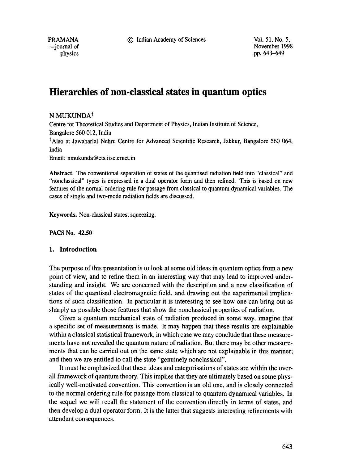9 Indian Academy of Sciences Vol. 51, No. 5,

PRAMANA -iournal of physics November 1998 pp. 643-649

# **Hierarchies of non-classical states in quantum optics**

# N MUKUNDA<sup>†</sup>

Centre for Theoretical Studies and Department of Physics, Indian Institute of Science, Bangalore 560 012, India \*Also at Jawaharlal Nehru Centre for Advanced Scientific Research, Jakkur, Bangalore 560 064, India

Email: nmukunda@cts.iisc.ernet.in

**Abstract.** The conventional separation of states of the quantised radiation field into "classical" and "nonclassical" types is expressed in a dual operator form and then refined. This is based on new features of the normal ordering rule for passage from classical to quantum dynamical variables. The cases of single and two-mode radiation fields are discussed.

Keywords. Non-classical states; squeezing.

**PACS No. 42.50** 

# **1. Introduction**

The purpose of this presentation is to look at some old ideas in quantum optics from a new point of view, and to refine them in an interesting way that may lead to improved understanding and insight. We are concerned with the description and a new classification of states of the quantised electromagnetic field, and drawing out the experimental implications of such classification. In particular it is interesting to see how one can bring out as sharply as possible those features that show the nonclassical properties of radiation.

Given a quantum mechanical state of radiation produced in some way, imagine that a specific set of measurements is made. It may happen that these results are explainable within a classical statistical framework, in which case we may conclude that these measurements have not revealed the quantum nature of radiation. But there may be other measurements that can be carried out on the same state which are not explainable in this manner; and then we are entitled to call the state "genuinely nonclassical".

It must be emphasized that these ideas and categorisations of states are within the overall framework of quantum theory. This implies that they are ultimately based on some physically well-motivated convention. This convention is an old one, and is closely connected to the normal ordering rule for passage from classical to quantum dynamical variables. In the sequel we will recall the statement of the convention directly in terms of states, and then develop a dual operator form. It is the latter that suggests interesting refinements with attendant consequences.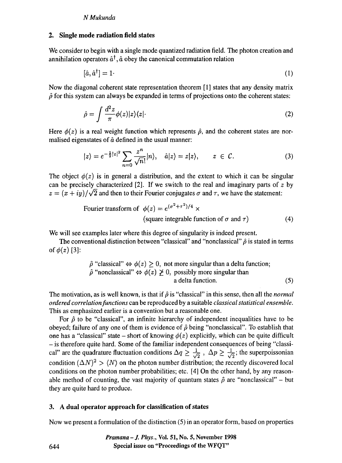### *N Mukunda*

## **2. Single mode radiation field states**

We consider to begin with a single mode quantized radiation field. The photon creation and annihilation operators  $\hat{a}^{\dagger}$ ,  $\hat{a}$  obey the canonical commutation relation

$$
[\hat{a}, \hat{a}^{\dagger}] = 1 \tag{1}
$$

Now the diagonal coherent state representation theorem [1] states that any density matrix  $\hat{\rho}$  for this system can always be expanded in terms of projections onto the coherent states:

$$
\hat{\rho} = \int \frac{d^2 z}{\pi} \phi(z) |z\rangle\langle z| \tag{2}
$$

Here  $\phi(z)$  is a real weight function which represents  $\hat{\rho}$ , and the coherent states are normalised eigenstates of  $\hat{a}$  defined in the usual manner:

$$
|z\rangle = e^{-\frac{1}{2}|z|^2} \sum_{n=0} \frac{z^n}{\sqrt{n!}} |n\rangle, \quad \hat{a}|z\rangle = z|z\rangle, \qquad z \in \mathcal{C}.
$$
 (3)

The object  $\phi(z)$  is in general a distribution, and the extent to which it can be singular can be precisely characterized [2]. If we switch to the real and imaginary parts of  $z$  by  $z = (x + iy)/\sqrt{2}$  and then to their Fourier conjugates  $\sigma$  and  $\tau$ , we have the statement:

Fourier transform of 
$$
\phi(z) = e^{(\sigma^2 + \tau^2)/4} \times
$$
  
(square integrable function of  $\sigma$  and  $\tau$ ) (4)

We will see examples later where this degree of singularity is indeed present.

The conventional distinction between "classical" and "nonclassical"  $\hat{\rho}$  is stated in terms of  $\phi(z)$  [3]:

$$
\hat{\rho} \text{ "classical"} \Leftrightarrow \phi(z) \ge 0, \text{ not more singular than a delta function;}
$$
\n
$$
\hat{\rho} \text{ "nonclassical"} \Leftrightarrow \phi(z) \ge 0, \text{ possibly more singular than a delta function.}
$$
\n(5)

The motivation, as is well known, is that if  $\hat{\rho}$  is "classical" in this sense, then all the *normal ordered correlation functions* can be reproduced by a suitable *classical statistical ensemble.*  This as emphasized earlier is a convention but a reasonable one.

For  $\hat{\rho}$  to be "classical", an infinite hierarchy of independent inequalities have to be obeyed; failure of any one of them is evidence of  $\hat{\rho}$  being "nonclassical". To establish that one has a "classical" state – short of knowing  $\phi(z)$  explicitly, which can be quite difficult **-** is therefore quite hard. Some of the familiar independent consequences of being "classical" are the quadrature fluctuation conditions  $\Delta q \ge \frac{1}{\sqrt{2}}$ ,  $\Delta p \ge \frac{1}{\sqrt{2}}$ ; the superpoissonian condition  $(\Delta N)^2 > \langle N \rangle$  on the photon number distribution; the recently discovered local conditions on the photon number probabilities; etc. [4] On the other hand, by any reasonable method of counting, the vast majority of quantum states  $\hat{\rho}$  are "nonclassical" - but they are quite hard to produce.

#### **3. A dual operator approach for classification of states**

Now we present a formulation of the distinction (5) in an operator form, based on properties

*Pramana - J. Phys.,* **Vol. 51, No. 5, November 1998 Special issue on "Proceedings of the WFQT"** 

644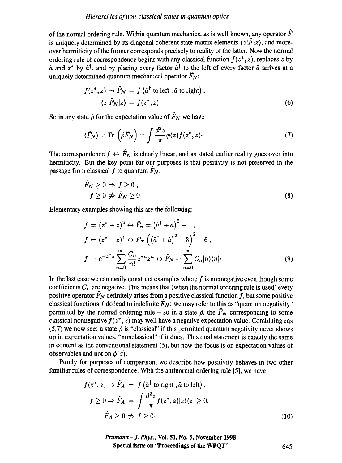## *Hierarchies of non-classical states in quantum optics*

of the normal ordering rule. Within quantum mechanics, as is well known, any operator  $\hat{F}$ is uniquely determined by its diagonal coherent state matrix elements  $\langle z|\hat{F}|z\rangle$ , and moreover hermiticity of the former corresponds precisely to reality of the latter. Now the normal ordering rule of correspondence begins with any classical function  $f(z^*, z)$ , replaces z by  $\hat{a}$  and  $z^*$  by  $\hat{a}^{\dagger}$ , and by placing every factor  $\hat{a}^{\dagger}$  to the left of every factor  $\hat{a}$  arrives at a uniquely determined quantum mechanical operator  $\hat{F}_N$ :

$$
f(z^*, z) \to \hat{F}_N = f(\hat{a}^\dagger \text{ to left}, \hat{a} \text{ to right}),
$$
  

$$
\langle z | \hat{F}_N | z \rangle = f(z^*, z).
$$
 (6)

So in any state  $\hat{\rho}$  for the expectation value of  $\hat{F}_N$  we have

$$
\langle \hat{F}_N \rangle = \text{Tr} \left( \hat{\rho} \hat{F}_N \right) = \int \frac{d^2 z}{\pi} \phi(z) f(z^*, z). \tag{7}
$$

The correspondence  $f \leftrightarrow \hat{F}_N$  is clearly linear, and as stated earlier reality goes over into hermiticity. But the key point for our purposes is that positivity is not preserved in the passage from classical f to quantum  $\hat{F}_N$ :

$$
\begin{aligned}\n\ddot{F}_N \ge 0 &\Rightarrow f \ge 0, \\
f \ge 0 &\Rightarrow \dot{F}_N \ge 0\n\end{aligned} \tag{8}
$$

Elementary examples showing this are the following:

$$
f = (z^* + z)^2 \leftrightarrow \hat{F}_n = (\hat{a}^\dagger + \hat{a})^2 - 1,
$$
  
\n
$$
f = (z^* + z)^4 \leftrightarrow \hat{F}_N ((\hat{a}^\dagger + \hat{a})^2 - 3)^2 - 6,
$$
  
\n
$$
f = e^{-z^*z} \sum_{n=0}^{\infty} \frac{C_n}{n!} z^{*n} z^n \leftrightarrow \hat{F}_N = \sum_{n=0}^{\infty} C_n |n\rangle \langle n|.
$$
 (9)

In the last case we can easily construct examples where  $f$  is nonnegative even though some coefficients  $C_n$  are negative. This means that (when the normal ordering rule is used) every positive operator  $\hat{F}_N$  definitely arises from a positive classical function f, but some positive classical functions f do lead to indefinite  $\hat{F}_N$ : we may refer to this as "quantum negativity" permitted by the normal ordering rule – so in a state  $\hat{\rho}$ , the  $\hat{F}_N$  corresponding to some classical nonnegative  $f(z^*, z)$  may well have a negative expectation value. Combining eqs (5,7) we now see: a state  $\hat{\rho}$  is "classical" if this permitted quantum negativity never shows up in expectation values, "nonclassical" if it does. This dual statement is exactly the same in content as the conventional statement (5), but now the focus is on expectation values of observables and not on  $\phi(z)$ .

Purely for purposes of comparison, we describe how positivity behaves in two other familiar rules of correspondence. With the antinormal ordering rule [5], we have

$$
f(z^*, z) \to \hat{F}_A = f(\hat{a}^\dagger \text{ to right}, \hat{a} \text{ to left}),
$$
  

$$
f \ge 0 \Rightarrow \hat{F}_A = \int \frac{d^2 z}{\pi} f(z^*, z) |z\rangle\langle z| \ge 0,
$$
  

$$
\hat{F}_A \ge 0 \nRightarrow f \ge 0.
$$
 (10)

*Pramana - J. Phys.,* Vol. 51, No. 5, November 1998 **Special issue on "Proceedings of the** WFQT" 645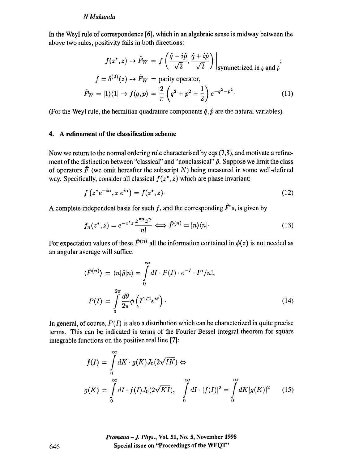#### *N Mukunda*

In the Weyl rule of correspondence [6], which in an algebraic sense is midway between the above two rules, positivity fails in both directions:

$$
f(z^*, z) \to \hat{F}_W = f\left(\frac{\hat{q} - i\hat{p}}{\sqrt{2}}, \frac{\hat{q} + i\hat{p}}{\sqrt{2}}\right)\Big|_{\text{symmetrized in } \hat{q} \text{ and } \hat{p}};
$$
  

$$
f = \delta^{(2)}(z) \to \hat{F}_W = \text{parity operator},
$$
  

$$
\hat{F}_W = |1\rangle\langle 1| \to f(q, p) = \frac{2}{\pi} \left(q^2 + p^2 - \frac{1}{2}\right) e^{-q^2 - p^2}.
$$
 (11)

(For the Weyl rule, the hermitian quadrature components  $\hat{q}$ ,  $\hat{p}$  are the natural variables).

# **4. A refinement of the classification scheme**

Now we return to the normal ordering rule characterised by eqs (7,8), and motivate a refinement of the distinction between "classical" and "nonclassical"  $\hat{\rho}$ . Suppose we limit the class of operators  $\hat{F}$  (we omit hereafter the subscript N) being measured in some well-defined way. Specifically, consider all classical  $f(z^*, z)$  which are phase invariant:

$$
f\left(z^*e^{-i\alpha}, z\ e^{i\alpha}\right) = f(z^*, z). \tag{12}
$$

A complete independent basis for such f, and the corresponding  $\hat{F}$ 's, is given by

$$
f_n(z^*, z) = e^{-z^*z} \frac{z^{*n} z^n}{n!} \Longleftrightarrow \hat{F}^{(n)} = |n\rangle\langle n| \tag{13}
$$

For expectation values of these  $\hat{F}^{(n)}$  all the information contained in  $\phi(z)$  is not needed as an angular average will suffice:

$$
\langle \hat{F}^{(n)} \rangle = \langle n | \hat{\rho} | n \rangle = \int_{0}^{\infty} dI \cdot P(I) \cdot e^{-I} \cdot I^{n} / n!,
$$

$$
P(I) = \int_{0}^{2\pi} \frac{d\theta}{2\pi} \phi \left( I^{1/2} e^{i\theta} \right).
$$
(14)

In general, of course,  $P(I)$  is also a distribution which can be characterized in quite precise terms. This can be indicated in terms of the Fourier Bessel integral theorem for square integrable functions on the positive real line [7]:

$$
f(I) = \int_{0}^{\infty} dK \cdot g(K) J_0(2\sqrt{IK}) \Leftrightarrow
$$
  

$$
g(K) = \int_{0}^{\infty} dI \cdot f(I) J_0(2\sqrt{KI}), \quad \int_{0}^{\infty} dI \cdot |f(I)|^2 = \int_{0}^{\infty} dK |g(K)|^2 \qquad (15)
$$

*Pramana - J. Phys.,* Vol. 51, No. 5, November 1998 **Special issue on "Proceedings of the WFQT"** 

646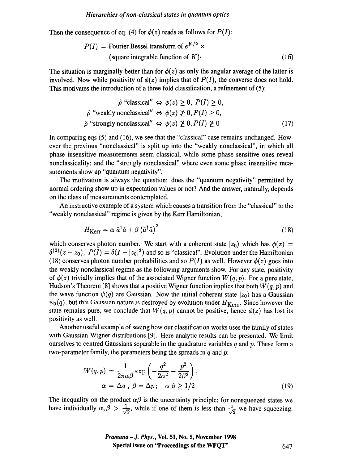Then the consequence of eq. (4) for  $\phi(z)$  reads as follows for  $P(I)$ :

$$
P(I) = \text{Fourier Bessel transform of } e^{K/2} \times
$$
  
(square integrable function of *K*) (16)

The situation is marginally better than for  $\phi(z)$  as only the angular average of the latter is involved. Now while positivity of  $\phi(z)$  implies that of  $P(I)$ , the converse does not hold. This motivates the introduction of a three fold classification, a refinement of (5):

$$
\hat{\rho} \text{ "classical" } \Leftrightarrow \phi(z) \ge 0, P(I) \ge 0,
$$
  

$$
\hat{\rho} \text{ "weakly nonclassical" } \Leftrightarrow \phi(z) \ngeq 0, P(I) \ge 0,
$$
  

$$
\hat{\rho} \text{ "strongly nonclassical" } \Leftrightarrow \phi(z) \ngeq 0, P(I) \ngeq 0
$$
 (17)

In comparing eqs  $(5)$  and  $(16)$ , we see that the "classical" case remains unchanged. However the previous "nonclassical" is split up into the "weakly nonclassical", in which all phase insensitive measurements seem classical, while some phase sensitive ones reveal nonclassicality; and the "strongly nonclassical" where even some phase insensitive measurements show up "quantum negativity".

The motivation is always the question: does the "quantum negativity" permitted by normal ordering show up in expectation values or not? And the answer, naturally, depends on the class of measurements contemplated.

An instructive example of a system which causes a transition from the "classical" to the "weakly nonclassical" regime is given by the Kerr Hamiltonian,

$$
H_{\text{Kerr}} = \alpha \hat{a}^{\dagger} \hat{a} + \beta \left( \hat{a}^{\dagger} \hat{a} \right)^2 \tag{18}
$$

which conserves photon number. We start with a coherent state  $|z_0\rangle$  which has  $\phi(z)$  =  $\delta^{(2)}(z-z_0)$ ,  $P(I) = \delta(I - |z_0|^2)$  and so is "classical". Evolution under the Hamiltonian (18) conserves photon number probabilities and so  $P(I)$  as well. However  $\phi(z)$  goes into the weakly nonclassical regime as the following arguments show. For any state, positivity of  $\phi(z)$  trivially implies that of the associated Wigner function  $W(q, p)$ . For a pure state, Hudson's Theorem [8] shows that a positive Wigner function implies that both *W(q,p)* and the wave function  $\psi(q)$  are Gaussian. Now the initial coherent state  $|z_0\rangle$  has a Gaussian  $\psi_0(q)$ , but this Gaussian nature is destroyed by evolution under  $H_{\text{Kerr}}$ . Since however the state remains pure, we conclude that  $W(q, p)$  cannot be positive, hence  $\phi(z)$  has lost its positivity as well.

Another useful example of seeing how our classification works uses the family of states with Gaussian Wigner distributions [9]. Here analytic results can be presented. We limit ourselves to centred Gaussians separable in the quadrature variables  $q$  and  $p$ . These form a two-parameter family, the parameters being the spreads in  $q$  and  $p$ .

$$
W(q, p) = \frac{1}{2\pi\alpha\beta} \exp\left(-\frac{q^2}{2\alpha^2} - \frac{p^2}{2\beta^2}\right),
$$
  
 
$$
\alpha = \Delta q, \ \beta = \Delta p; \quad \alpha \ \beta \ge 1/2
$$
 (19)

The inequality on the product  $\alpha\beta$  is the uncertainty principle; for nonsqueezed states we have individually  $\alpha, \beta > \frac{1}{\sqrt{2}}$ , while if one of them is less than  $\frac{1}{\sqrt{2}}$  we have squeezing.

> *Pramana -J. Phys.,* **Vol. 51, No. 5, November 1998 Special issue on "Proceedings of the WFQT"** 647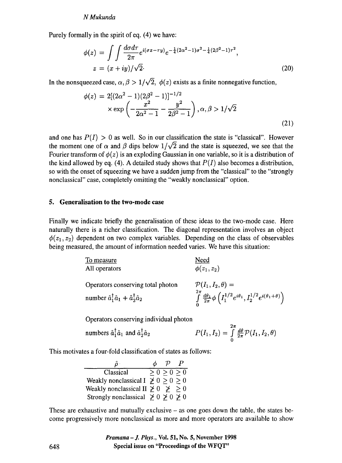#### *N Mukunda*

Purely formally in the spirit of eq. (4) we have:

$$
\phi(z) = \int \int \frac{d\sigma d\tau}{2\pi} e^{i(\sigma x - \tau y)} e^{-\frac{1}{4}(2\alpha^2 - 1)\sigma^2 - \frac{1}{4}(2\beta^2 - 1)\tau^2},
$$
  
\n
$$
z = (x + iy) / \sqrt{2}.
$$
\n(20)

In the nonsqueezed case,  $\alpha$ ,  $\beta > 1/\sqrt{2}$ ,  $\phi(z)$  exists as a finite nonnegative function,

$$
\phi(z) = 2[(2\alpha^2 - 1)(2\beta^2 - 1)]^{-1/2}
$$
  
 
$$
\times \exp\left(-\frac{x^2}{2\alpha^2 - 1} - \frac{y^2}{2\beta^2 - 1}\right), \alpha, \beta > 1/\sqrt{2}
$$
 (21)

and one has  $P(I) > 0$  as well. So in our classification the state is "classical". However the moment one of  $\alpha$  and  $\beta$  dips below  $1/\sqrt{2}$  and the state is squeezed, we see that the Fourier transform of  $\phi(z)$  is an exploding Gaussian in one variable, so it is a distribution of the kind allowed by eq. (4). A detailed study shows that  $P(I)$  also becomes a distribution, so with the onset of squeezing we have a sudden jump from the "classical" to the "strongly nonclassical" case, completely omitting the "weakly nonclassical" option.

## **5. Generalisation to the two-mode case**

Finally we indicate briefly the generalisation of these ideas to the two-mode case. Here naturally there is a richer classification. The diagonal representation involves an object  $\phi(z_1, z_2)$  dependent on two complex variables. Depending on the class of observables being measured, the amount of information needed varies. We have this situation:

| To measure                                                             | Need                                                                                                                  |
|------------------------------------------------------------------------|-----------------------------------------------------------------------------------------------------------------------|
| All operators                                                          | $\phi(z_1, z_2)$                                                                                                      |
| Operators conserving total photon                                      | $\mathcal{P}(I_1,I_2,\theta) =$                                                                                       |
| number $\hat{a}_1^{\dagger} \hat{a}_1 + \hat{a}_2^{\dagger} \hat{a}_2$ | $\int\limits^{2\pi}_0{\frac{d\theta_1}{2\pi}\phi\left(I_1^{1/2}e^{i\theta_1},I_2^{1/2}e^{i(\theta_1+\theta)}\right)}$ |

Operators conserving individual photon

numbers 
$$
\hat{a}_1^{\dagger} \hat{a}_1
$$
 and  $\hat{a}_2^{\dagger} \hat{a}_2$   $P(I_1, I_2) = \int_0^{\infty} \frac{d\theta}{2\pi} \mathcal{P}(I_1, I_2, \theta)$ 

 $2\pi$ 

This motivates a four-fold classification of states as follows:

|                                               | P           |  |
|-----------------------------------------------|-------------|--|
| Classical                                     | > 0 > 0 > 0 |  |
| Weakly nonclassical I $\geq 0$ $\geq 0$ $> 0$ |             |  |
| Weakly nonclassical II $\geq 0$ $\geq 0$      |             |  |
| Strongly nonclassical $\geq 0 \geq 0 \geq 0$  |             |  |

These are exhaustive and mutually exclusive  $-$  as one goes down the table, the states become progressively more nonclassical as more and more operators are available to show

> *Pramana -J. Phys.,* **Vol. 51, No. 5, November 1998 Special issue on "Proceedings of the WFQT"**